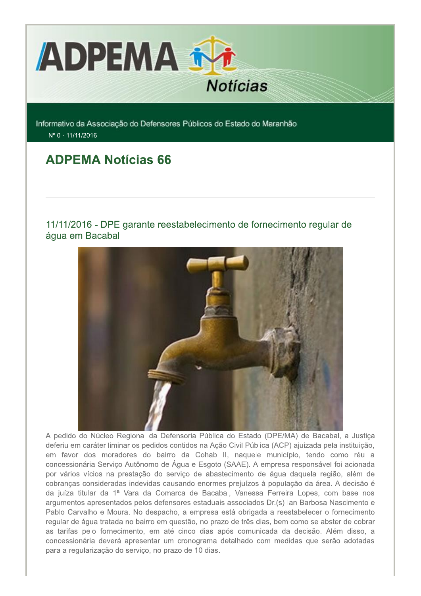

Informativo da Associação do Defensores Públicos do Estado do Maranhão Nº 0 - 11/11/2016

# **ADPEMA Notícias 66**

11/11/2016 - DPE garante reestabelecimento de fornecimento regular de água em Bacabal



A pedido do Núcleo Regional da Defensoria Pública do Estado (DPE/MA) de Bacabal, a Justiça deferiu em caráter liminar os pedidos contidos na Ação Civil Pública (ACP) ajuizada pela instituição, em favor dos moradores do bairro da Cohab II, naquele município, tendo como réu a concessionária Serviço Autônomo de Água e Esgoto (SAAE). A empresa responsável foi acionada por vários vícios na prestação do serviço de abastecimento de água daquela região, além de cobranças consideradas indevidas causando enormes prejuízos à população da área. A decisão é da juíza titular da 1ª Vara da Comarca de Bacabal, Vanessa Ferreira Lopes, com base nos argumentos apresentados pelos defensores estaduais associados Dr.(s) lan Barbosa Nascimento e Pablo Carvalho e Moura. No despacho, a empresa está obrigada a reestabelecer o fornecimento regular de água tratada no bairro em questão, no prazo de três dias, bem como se abster de cobrar as tarifas pelo fornecimento, em até cinco dias após comunicada da decisão. Além disso, a concessionária deverá apresentar um cronograma detalhado com medidas que serão adotadas para a regularização do serviço, no prazo de 10 dias.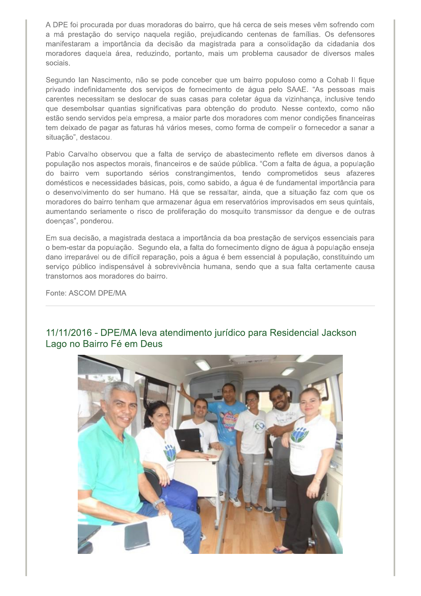A DPE foi procurada por duas moradoras do bairro, que há cerca de seis meses vêm sofrendo com a má prestação do serviço naquela região, prejudicando centenas de famílias. Os defensores manifestaram a importância da decisão da magistrada para a consolidação da cidadania dos moradores daquela área, reduzindo, portanto, mais um problema causador de diversos males sociais.

Segundo Ian Nascimento, não se pode conceber que um bairro populoso como a Cohab II fique privado indefinidamente dos serviços de fornecimento de água pelo SAAE. "As pessoas mais carentes necessitam se deslocar de suas casas para coletar água da vizinhança, inclusive tendo que desembolsar quantias significativas para obtenção do produto. Nesse contexto, como não estão sendo servidos pela empresa, a maior parte dos moradores com menor condições financeiras tem deixado de pagar as faturas há vários meses, como forma de compelir o fornecedor a sanar a situação", destacou.

Pablo Carvalho observou que a falta de serviço de abastecimento reflete em diversos danos à população nos aspectos morais, financeiros e de saúde pública. "Com a falta de água, a população do bairro vem suportando sérios constrangimentos, tendo comprometidos seus afazeres domésticos e necessidades básicas, pois, como sabido, a água é de fundamental importância para o desenvolvimento do ser humano. Há que se ressaltar, ainda, que a situação faz com que os moradores do bairro tenham que armazenar água em reservatórios improvisados em seus quintais, aumentando seriamente o risco de proliferação do mosquito transmissor da dengue e de outras doenças", ponderou.

Em sua decisão, a magistrada destaca a importância da boa prestação de serviços essenciais para o bem-estar da população. Segundo ela, a falta do fornecimento digno de água à população enseja dano irreparável ou de difícil reparação, pois a água é bem essencial à população, constituindo um serviço público indispensável à sobrevivência humana, sendo que a sua falta certamente causa transtornos aos moradores do bairro.

Fonte: ASCOM DPF/MA

## 11/11/2016 - DPE/MA leva atendimento jurídico para Residencial Jackson Lago no Bairro Fé em Deus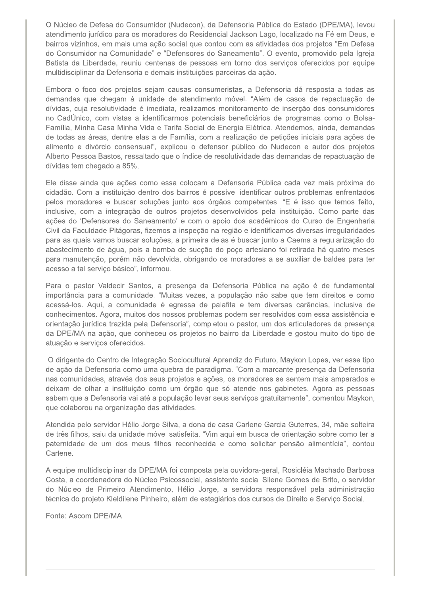O Núcleo de Defesa do Consumidor (Nudecon), da Defensoria Pública do Estado (DPE/MA), levou atendimento jurídico para os moradores do Residencial Jackson Lago, localizado na Fé em Deus, e bairros vizinhos, em mais uma ação social que contou com as atividades dos projetos "Em Defesa do Consumidor na Comunidade" e "Defensores do Saneamento". O evento, promovido pela Igreja Batista da Liberdade, reuniu centenas de pessoas em torno dos serviços oferecidos por equipe multidisciplinar da Defensoria e demais instituições parceiras da ação.

Embora o foco dos projetos sejam causas consumeristas, a Defensoria dá resposta a todas as demandas que chegam à unidade de atendimento móvel. "Além de casos de repactuação de dívidas, cuja resolutividade é imediata, realizamos monitoramento de inserção dos consumidores no CadÚnico, com vistas a identificarmos potenciais beneficiários de programas como o Bolsa-Família, Minha Casa Minha Vida e Tarifa Social de Energia Elétrica. Atendemos, ainda, demandas de todas as áreas, dentre elas a de Família, com a realização de petições iniciais para ações de alimento e divórcio consensual", explicou o defensor público do Nudecon e autor dos projetos Alberto Pessoa Bastos, ressaltado que o índice de resolutividade das demandas de repactuação de dívidas tem chegado a 85%.

Ele disse ainda que ações como essa colocam a Defensoria Pública cada vez mais próxima do cidadão. Com a instituição dentro dos bairros é possível identificar outros problemas enfrentados pelos moradores e buscar soluções junto aos órgãos competentes. "E é isso que temos feito, inclusive, com a integração de outros projetos desenvolvidos pela instituição. Como parte das ações do 'Defensores do Saneamento' e com o apoio dos acadêmicos do Curso de Engenharia Civil da Faculdade Pitágoras, fizemos a inspeção na região e identificamos diversas irregularidades para as quais vamos buscar soluções, a primeira delas é buscar junto a Caema a regularização do abastecimento de água, pois a bomba de sucção do poço artesiano foi retirada há quatro meses para manutenção, porém não devolvida, obrigando os moradores a se auxiliar de baldes para ter acesso a tal serviço básico", informou.

Para o pastor Valdecir Santos, a presenca da Defensoria Pública na ação é de fundamental importância para a comunidade. "Muitas vezes, a população não sabe que tem direitos e como acessá-los. Aqui, a comunidade é egressa de palafita e tem diversas carências, inclusive de conhecimentos. Agora, muitos dos nossos problemas podem ser resolvidos com essa assistência e orientação jurídica trazida pela Defensoria", completou o pastor, um dos articuladores da presença da DPE/MA na ação, que conheceu os projetos no bairro da Liberdade e gostou muito do tipo de atuação e serviços oferecidos.

O dirigente do Centro de Integração Sociocultural Aprendiz do Futuro, Maykon Lopes, ver esse tipo de ação da Defensoria como uma quebra de paradigma. "Com a marcante presença da Defensoria nas comunidades, através dos seus projetos e ações, os moradores se sentem mais amparados e deixam de olhar a instituição como um órgão que só atende nos gabinetes. Agora as pessoas sabem que a Defensoria vai até a população levar seus serviços gratuitamente", comentou Maykon, que colaborou na organização das atividades.

Atendida pelo servidor Hélio Jorge Silva, a dona de casa Carlene Garcia Guterres, 34, mãe solteira de três filhos, saiu da unidade móvel satisfeita. "Vim aqui em busca de orientação sobre como ter a paternidade de um dos meus filhos reconhecida e como solicitar pensão alimentícia", contou Carlene.

A equipe multidisciplinar da DPE/MA foi composta pela ouvidora-geral, Rosicléia Machado Barbosa Costa, a coordenadora do Núcleo Psicossocial, assistente social Silene Gomes de Brito, o servidor do Núcleo de Primeiro Atendimento, Hélio Jorge, a servidora responsável pela administração técnica do projeto Kleldilene Pinheiro, além de estagiários dos cursos de Direito e Serviço Social.

Fonte: Ascom DPE/MA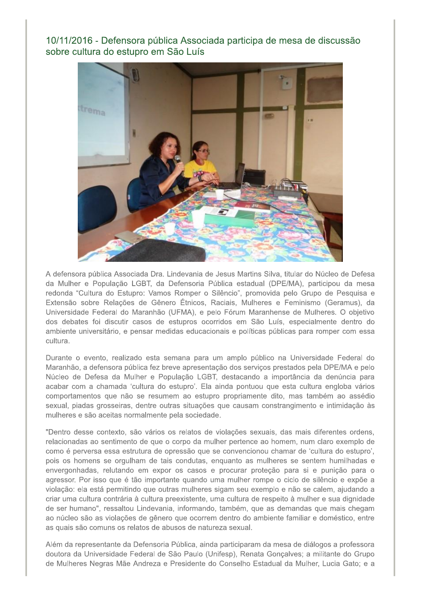10/11/2016 - Defensora pública Associada participa de mesa de discussão sobre cultura do estupro em São Luís



A defensora pública Associada Dra. Lindevania de Jesus Martins Silva, titular do Núcleo de Defesa da Mulher e População LGBT, da Defensoria Pública estadual (DPE/MA), participou da mesa redonda "Cultura do Estupro: Vamos Romper o Silêncio", promovida pelo Grupo de Pesquisa e Extensão sobre Relações de Gênero Étnicos, Raciais, Mulheres e Feminismo (Geramus), da Universidade Federal do Maranhão (UFMA), e pelo Fórum Maranhense de Mulheres. O objetivo dos debates foi discutir casos de estupros ocorridos em São Luís, especialmente dentro do ambiente universitário, e pensar medidas educacionais e políticas públicas para romper com essa cultura.

Durante o evento, realizado esta semana para um amplo público na Universidade Federal do Maranhão, a defensora pública fez breve apresentação dos serviços prestados pela DPE/MA e pelo Núcleo de Defesa da Mulher e População LGBT, destacando a importância da denúncia para acabar com a chamada 'cultura do estupro'. Ela ainda pontuou que esta cultura engloba vários comportamentos que não se resumem ao estupro propriamente dito, mas também ao assédio sexual, piadas grosseiras, dentre outras situações que causam constrangimento e intimidação às mulheres e são aceitas normalmente pela sociedade.

"Dentro desse contexto, são vários os relatos de violações sexuais, das mais diferentes ordens, relacionadas ao sentimento de que o corpo da mulher pertence ao homem, num claro exemplo de como é perversa essa estrutura de opressão que se convencionou chamar de 'cultura do estupro', pois os homens se orgulham de tais condutas, enquanto as mulheres se sentem humilhadas e envergonhadas, relutando em expor os casos e procurar proteção para si e punição para o agressor. Por isso que é tão importante quando uma mulher rompe o ciclo de silêncio e expõe a violação: ela está permitindo que outras mulheres sigam seu exemplo e não se calem, ajudando a criar uma cultura contrária à cultura preexistente, uma cultura de respeito à mulher e sua dignidade de ser humano", ressaltou Lindevania, informando, também, que as demandas que mais chegam ao núcleo são as violações de gênero que ocorrem dentro do ambiente familiar e doméstico, entre as quais são comuns os relatos de abusos de natureza sexual.

Além da representante da Defensoria Pública, ainda participaram da mesa de diálogos a professora doutora da Universidade Federal de São Paulo (Unifesp), Renata Gonçalves; a militante do Grupo de Mulheres Negras Mãe Andreza e Presidente do Conselho Estadual da Mulher, Lucia Gato; e a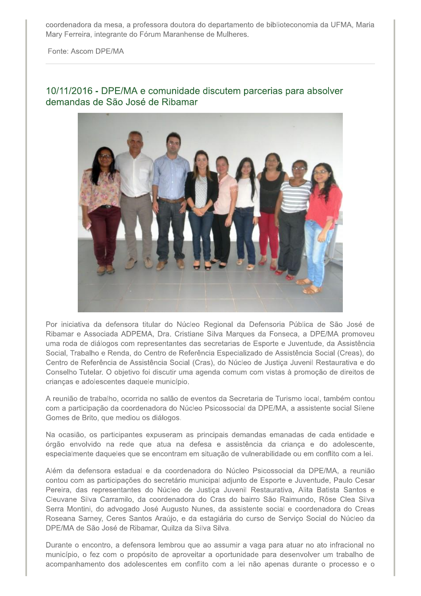coordenadora da mesa, a professora doutora do departamento de biblioteconomia da UFMA, Maria Mary Ferreira, integrante do Fórum Maranhense de Mulheres.

Fonte: Ascom DPE/MA

#### 10/11/2016 - DPE/MA e comunidade discutem parcerias para absolver demandas de São José de Ribamar



Por iniciativa da defensora titular do Núcleo Regional da Defensoria Pública de São José de Ribamar e Associada ADPEMA, Dra. Cristiane Silva Marques da Fonseca, a DPE/MA promoveu uma roda de diálogos com representantes das secretarias de Esporte e Juventude, da Assistência Social, Trabalho e Renda, do Centro de Referência Especializado de Assistência Social (Creas), do Centro de Referência de Assistência Social (Cras), do Núcleo de Justiça Juvenil Restaurativa e do Conselho Tutelar. O objetivo foi discutir uma agenda comum com vistas à promoção de direitos de crianças e adolescentes daquele município.

A reunião de trabalho, ocorrida no salão de eventos da Secretaria de Turismo local, também contou com a participação da coordenadora do Núcleo Psicossocial da DPE/MA, a assistente social Silene Gomes de Brito, que mediou os diálogos.

Na ocasião, os participantes expuseram as principais demandas emanadas de cada entidade e órgão envolvido na rede que atua na defesa e assistência da criança e do adolescente, especialmente daqueles que se encontram em situação de vulnerabilidade ou em conflito com a lei.

Além da defensora estadual e da coordenadora do Núcleo Psicossocial da DPE/MA, a reunião contou com as participações do secretário municipal adjunto de Esporte e Juventude, Paulo Cesar Pereira, das representantes do Núcleo de Justiça Juvenil Restaurativa, Alita Batista Santos e Cleuvane Silva Carramilo, da coordenadora do Cras do bairro São Raimundo, Rôse Clea Silva Serra Montini, do advogado José Augusto Nunes, da assistente social e coordenadora do Creas Roseana Sarney, Ceres Santos Araújo, e da estagiária do curso de Serviço Social do Núcleo da DPE/MA de São José de Ribamar, Quilza da Silva Silva.

Durante o encontro, a defensora lembrou que ao assumir a vaga para atuar no ato infracional no município, o fez com o propósito de aproveitar a oportunidade para desenvolver um trabalho de acompanhamento dos adolescentes em conflito com a lei não apenas durante o processo e o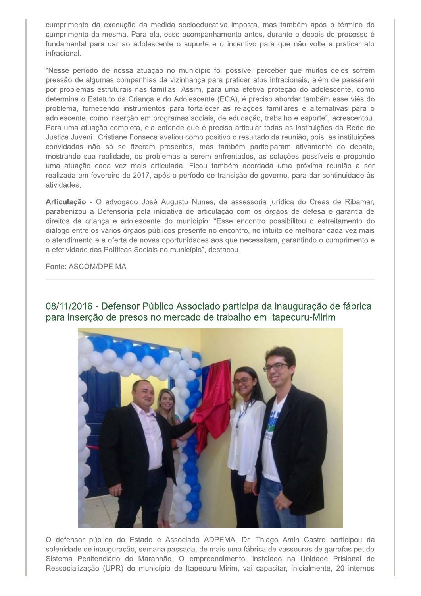cumprimento da execução da medida socioeducativa imposta, mas também após o término do cumprimento da mesma. Para ela, esse acompanhamento antes, durante e depois do processo é fundamental para dar ao adolescente o suporte e o incentivo para que não volte a praticar ato infracional.

"Nesse período de nossa atuação no município foi possível perceber que muitos deles sofrem pressão de algumas companhias da vizinhança para praticar atos infracionais, além de passarem por problemas estruturais nas famílias. Assim, para uma efetiva proteção do adolescente, como determina o Estatuto da Criança e do Adolescente (ECA), é preciso abordar também esse viés do problema, fornecendo instrumentos para fortalecer as relações familiares e alternativas para o adolescente, como inserção em programas sociais, de educação, trabalho e esporte", acrescentou. Para uma atuação completa, ela entende que é preciso articular todas as instituições da Rede de Justica Juvenil. Cristiane Fonseca avaliou como positivo o resultado da reunião, pois, as instituições convidadas não só se fizeram presentes, mas também participaram ativamente do debate, mostrando sua realidade, os problemas a serem enfrentados, as soluções possíveis e propondo uma atuação cada vez mais articulada. Ficou também acordada uma próxima reunião a ser realizada em fevereiro de 2017, após o período de transição de governo, para dar continuidade às atividades.

Articulação - O advogado José Augusto Nunes, da assessoria jurídica do Creas de Ribamar, parabenizou a Defensoria pela iniciativa de articulação com os órgãos de defesa e garantia de direitos da criança e adolescente do município. "Esse encontro possibilitou o estreitamento do diálogo entre os vários órgãos públicos presente no encontro, no intuito de melhorar cada vez mais o atendimento e a oferta de novas oportunidades aos que necessitam, garantindo o cumprimento e a efetividade das Políticas Sociais no município", destacou.

Fonte: ASCOM/DPE MA



08/11/2016 - Defensor Público Associado participa da inauguração de fábrica para inserção de presos no mercado de trabalho em Itapecuru-Mirim

O defensor público do Estado e Associado ADPEMA, Dr. Thiago Amin Castro participou da solenidade de inauguração, semana passada, de mais uma fábrica de vassouras de garrafas pet do Sistema Penitenciário do Maranhão. O empreendimento, instalado na Unidade Prisional de Ressocialização (UPR) do município de Itapecuru-Mirim, vai capacitar, inicialmente, 20 internos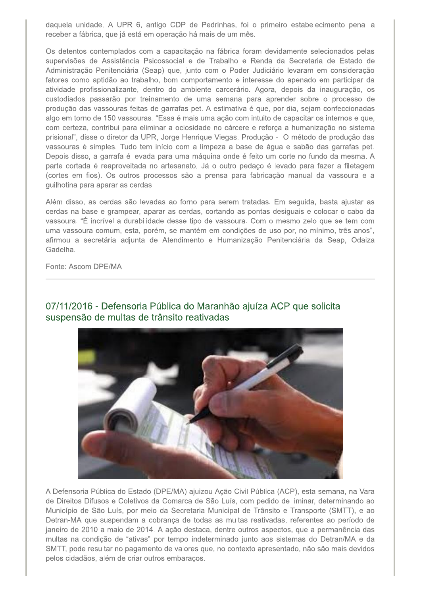daquela unidade. A UPR 6, antigo CDP de Pedrinhas, foi o primeiro estabelecimento penal a receber a fábrica, que já está em operação há mais de um mês.

Os detentos contemplados com a capacitação na fábrica foram devidamente selecionados pelas supervisões de Assistência Psicossocial e de Trabalho e Renda da Secretaria de Estado de Administração Penitenciária (Seap) que, junto com o Poder Judiciário levaram em consideração fatores como aptidão ao trabalho, bom comportamento e interesse do apenado em participar da atividade profissionalizante, dentro do ambiente carcerário. Agora, depois da inauguração, os custodiados passarão por treinamento de uma semana para aprender sobre o processo de produção das vassouras feitas de garrafas pet. A estimativa é que, por dia, sejam confeccionadas algo em torno de 150 vassouras. "Essa é mais uma ação com intuito de capacitar os internos e que, com certeza, contribui para eliminar a ociosidade no cárcere e reforça a humanização no sistema prisional", disse o diretor da UPR, Jorge Henrique Viegas. Produção - O método de produção das vassouras é simples. Tudo tem início com a limpeza a base de água e sabão das garrafas pet. Depois disso, a garrafa é levada para uma máquina onde é feito um corte no fundo da mesma. A parte cortada é reaproveitada no artesanato. Já o outro pedaço é levado para fazer a filetagem (cortes em fios). Os outros processos são a prensa para fabricação manual da vassoura e a guilhotina para aparar as cerdas.

Além disso, as cerdas são levadas ao forno para serem tratadas. Em seguida, basta ajustar as cerdas na base e grampear, aparar as cerdas, cortando as pontas desiguais e colocar o cabo da vassoura. "É incrível a durabilidade desse tipo de vassoura. Com o mesmo zelo que se tem com uma vassoura comum, esta, porém, se mantém em condições de uso por, no mínimo, três anos", afirmou a secretária adjunta de Atendimento e Humanização Penitenciária da Seap, Odaiza Gadelha.

Fonte: Ascom DPE/MA



### 07/11/2016 - Defensoria Pública do Maranhão ajuíza ACP que solicita suspensão de multas de trânsito reativadas

A Defensoria Pública do Estado (DPE/MA) ajuizou Ação Civil Pública (ACP), esta semana, na Vara de Direitos Difusos e Coletivos da Comarca de São Luís, com pedido de liminar, determinando ao Município de São Luís, por meio da Secretaria Municipal de Trânsito e Transporte (SMTT), e ao Detran-MA que suspendam a cobrança de todas as multas reativadas, referentes ao período de janeiro de 2010 a maio de 2014. A ação destaca, dentre outros aspectos, que a permanência das multas na condição de "ativas" por tempo indeterminado junto aos sistemas do Detran/MA e da SMTT, pode resultar no pagamento de valores que, no contexto apresentado, não são mais devidos pelos cidadãos, além de criar outros embaraços.